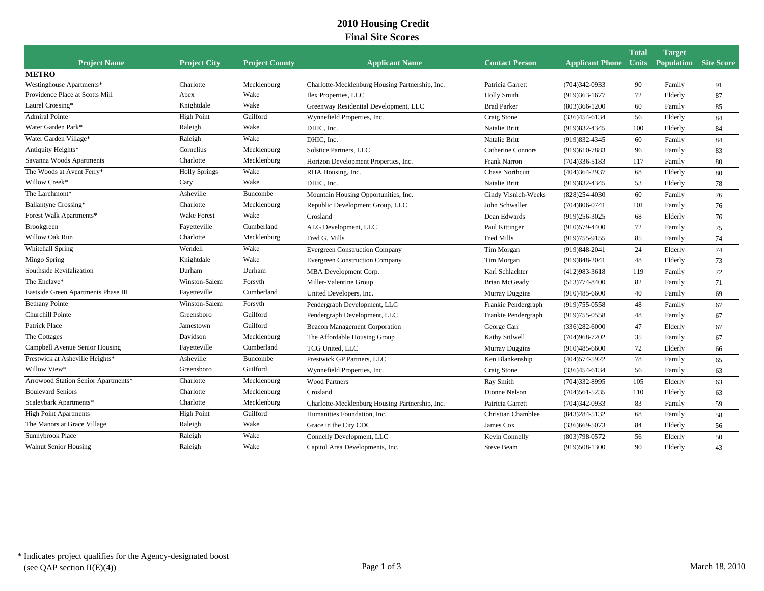## **2010 Housing Credit Final Site Scores**

|                                     |                      |                       |                                                 |                           |                              | <b>Total</b> | <b>Target</b>     |                   |
|-------------------------------------|----------------------|-----------------------|-------------------------------------------------|---------------------------|------------------------------|--------------|-------------------|-------------------|
| <b>Project Name</b>                 | <b>Project City</b>  | <b>Project County</b> | <b>Applicant Name</b>                           | <b>Contact Person</b>     | <b>Applicant Phone Units</b> |              | <b>Population</b> | <b>Site Score</b> |
| <b>METRO</b>                        |                      |                       |                                                 |                           |                              |              |                   |                   |
| Westinghouse Apartments*            | Charlotte            | Mecklenburg           | Charlotte-Mecklenburg Housing Partnership, Inc. | Patricia Garrett          | $(704)342 - 0933$            | 90           | Family            | 91                |
| Providence Place at Scotts Mill     | Apex                 | Wake                  | Ilex Properties, LLC                            | <b>Holly Smith</b>        | $(919)363 - 1677$            | 72           | Elderly           | 87                |
| Laurel Crossing*                    | Knightdale           | Wake                  | Greenway Residential Development, LLC           | <b>Brad Parker</b>        | $(803)366 - 1200$            | 60           | Family            | 85                |
| <b>Admiral Pointe</b>               | <b>High Point</b>    | Guilford              | Wynnefield Properties, Inc.                     | Craig Stone               | $(336)454 - 6134$            | 56           | Elderly           | 84                |
| Water Garden Park*                  | Raleigh              | Wake                  | DHIC, Inc.                                      | Natalie Britt             | (919) 832-4345               | 100          | Elderly           | 84                |
| Water Garden Village*               | Raleigh              | Wake                  | DHIC, Inc.                                      | Natalie Britt             | (919) 832-4345               | 60           | Family            | 84                |
| Antiquity Heights*                  | Cornelius            | Mecklenburg           | Solstice Partners, LLC                          | <b>Catherine Connors</b>  | (919)610-7883                | 96           | Family            | 83                |
| Savanna Woods Apartments            | Charlotte            | Mecklenburg           | Horizon Development Properties, Inc.            | Frank Narron              | $(704)336 - 5183$            | 117          | Family            | 80                |
| The Woods at Avent Ferry*           | <b>Holly Springs</b> | Wake                  | RHA Housing, Inc.                               | Chase Northcutt           | $(404)364 - 2937$            | 68           | Elderly           | 80                |
| Willow Creek*                       | Cary                 | Wake                  | DHIC, Inc.                                      | Natalie Britt             | (919) 832-4345               | 53           | Elderly           | 78                |
| The Larchmont*                      | Asheville            | Buncombe              | Mountain Housing Opportunities, Inc.            | Cindy Visnich-Weeks       | $(828)254-4030$              | 60           | Family            | 76                |
| Ballantyne Crossing*                | Charlotte            | Mecklenburg           | Republic Development Group, LLC                 | John Schwaller            | $(704)806 - 0741$            | 101          | Family            | 76                |
| Forest Walk Apartments*             | <b>Wake Forest</b>   | Wake                  | Crosland                                        | Dean Edwards              | $(919)256 - 3025$            | 68           | Elderly           | 76                |
| Brookgreen                          | Fayetteville         | Cumberland            | ALG Development, LLC                            | Paul Kittinger            | $(910)579-4400$              | 72           | Family            | 75                |
| Willow Oak Run                      | Charlotte            | Mecklenburg           | Fred G. Mills                                   | Fred Mills                | (919) 755-9155               | 85           | Family            | 74                |
| Whitehall Spring                    | Wendell              | Wake                  | <b>Evergreen Construction Company</b>           | Tim Morgan                | $(919)848-2041$              | 24           | Elderly           | 74                |
| Mingo Spring                        | Knightdale           | Wake                  | <b>Evergreen Construction Company</b>           | Tim Morgan                | (919) 848-2041               | 48           | Elderly           | 73                |
| Southside Revitalization            | Durham               | Durham                | MBA Development Corp.                           | Karl Schlachter           | $(412)983 - 3618$            | 119          | Family            | 72                |
| The Enclave*                        | Winston-Salem        | Forsyth               | Miller-Valentine Group                          | <b>Brian McGeady</b>      | $(513)774 - 8400$            | 82           | Family            | 71                |
| Eastside Green Apartments Phase III | Fayetteville         | Cumberland            | United Developers, Inc.                         | Murray Duggins            | $(910)485 - 6600$            | 40           | Family            | 69                |
| <b>Bethany Pointe</b>               | Winston-Salem        | Forsyth               | Pendergraph Development, LLC                    | Frankie Pendergraph       | $(919)755 - 0558$            | 48           | Family            | 67                |
| Churchill Pointe                    | Greensboro           | Guilford              | Pendergraph Development, LLC                    | Frankie Pendergraph       | $(919)755 - 0558$            | 48           | Family            | 67                |
| Patrick Place                       | Jamestown            | Guilford              | Beacon Management Corporation                   | George Carr               | $(336)282 - 6000$            | 47           | Elderly           | 67                |
| The Cottages                        | Davidson             | Mecklenburg           | The Affordable Housing Group                    | Kathy Stilwell            | $(704)968 - 7202$            | 35           | Family            | 67                |
| Campbell Avenue Senior Housing      | Fayetteville         | Cumberland            | TCG United, LLC                                 | Murray Duggins            | $(910)485 - 6600$            | 72           | Elderly           | 66                |
| Prestwick at Asheville Heights*     | Asheville            | Buncombe              | Prestwick GP Partners, LLC                      | Ken Blankenship           | (404) 574-5922               | 78           | Family            | 65                |
| Willow View*                        | Greensboro           | Guilford              | Wynnefield Properties, Inc.                     | Craig Stone               | $(336)454 - 6134$            | 56           | Family            | 63                |
| Arrowood Station Senior Apartments* | Charlotte            | Mecklenburg           | <b>Wood Partners</b>                            | Ray Smith                 | $(704)332 - 8995$            | 105          | Elderly           | 63                |
| <b>Boulevard Seniors</b>            | Charlotte            | Mecklenburg           | Crosland                                        | Dionne Nelson             | $(704)561 - 5235$            | 110          | Elderly           | 63                |
| Scaleybark Apartments*              | Charlotte            | Mecklenburg           | Charlotte-Mecklenburg Housing Partnership, Inc. | Patricia Garrett          | $(704)342-0933$              | 83           | Family            | 59                |
| <b>High Point Apartments</b>        | <b>High Point</b>    | Guilford              | Humanities Foundation, Inc.                     | <b>Christian Chamblee</b> | $(843)284 - 5132$            | 68           | Family            | 58                |
| The Manors at Grace Village         | Raleigh              | Wake                  | Grace in the City CDC                           | James Cox                 | $(336)669 - 5073$            | 84           | Elderly           | 56                |
| Sunnybrook Place                    | Raleigh              | Wake                  | Connelly Development, LLC                       | Kevin Connelly            | $(803)798-0572$              | 56           | Elderly           | 50                |
| <b>Walnut Senior Housing</b>        | Raleigh              | Wake                  | Capitol Area Developments, Inc.                 | <b>Steve Beam</b>         | (919)508-1300                | 90           | Elderly           | 43                |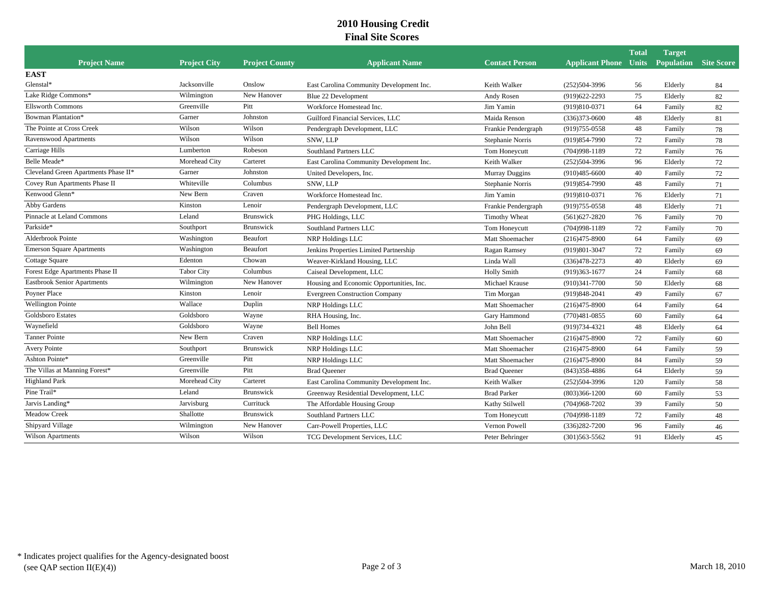## **2010 Housing Credit Final Site Scores**

|                                      |                     |                       |                                          |                       |                                                    | <b>Total</b> | <b>Target</b> |    |
|--------------------------------------|---------------------|-----------------------|------------------------------------------|-----------------------|----------------------------------------------------|--------------|---------------|----|
| <b>Project Name</b>                  | <b>Project City</b> | <b>Project County</b> | <b>Applicant Name</b>                    | <b>Contact Person</b> | <b>Applicant Phone Units Population Site Score</b> |              |               |    |
| <b>EAST</b>                          |                     |                       |                                          |                       |                                                    |              |               |    |
| Glenstal*                            | Jacksonville        | Onslow                | East Carolina Community Development Inc. | Keith Walker          | $(252)504-3996$                                    | 56           | Elderly       | 84 |
| Lake Ridge Commons*                  | Wilmington          | New Hanover           | Blue 22 Development                      | Andy Rosen            | $(919)622 - 2293$                                  | 75           | Elderly       | 82 |
| <b>Ellsworth Commons</b>             | Greenville          | Pitt                  | Workforce Homestead Inc.                 | Jim Yamin             | (919)810-0371                                      | 64           | Family        | 82 |
| Bowman Plantation*                   | Garner              | Johnston              | Guilford Financial Services, LLC         | Maida Renson          | $(336)373 - 0600$                                  | 48           | Elderly       | 81 |
| The Pointe at Cross Creek            | Wilson              | Wilson                | Pendergraph Development, LLC             | Frankie Pendergraph   | $(919)755 - 0558$                                  | 48           | Family        | 78 |
| Ravenswood Apartments                | Wilson              | Wilson                | SNW, LLP                                 | Stephanie Norris      | (919) 854-7990                                     | 72           | Family        | 78 |
| Carriage Hills                       | Lumberton           | Robeson               | Southland Partners LLC                   | Tom Honeycutt         | $(704)998 - 1189$                                  | 72           | Family        | 76 |
| Belle Meade*                         | Morehead City       | Carteret              | East Carolina Community Development Inc. | Keith Walker          | $(252)504-3996$                                    | 96           | Elderly       | 72 |
| Cleveland Green Apartments Phase II* | Garner              | Johnston              | United Developers, Inc.                  | <b>Murray Duggins</b> | $(910)485 - 6600$                                  | 40           | Family        | 72 |
| Covey Run Apartments Phase II        | Whiteville          | Columbus              | SNW, LLP                                 | Stephanie Norris      | (919) 854-7990                                     | 48           | Family        | 71 |
| Kenwood Glenn*                       | New Bern            | Craven                | Workforce Homestead Inc.                 | Jim Yamin             | (919)810-0371                                      | 76           | Elderly       | 71 |
| Abby Gardens                         | Kinston             | Lenoir                | Pendergraph Development, LLC             | Frankie Pendergraph   | $(919)755 - 0558$                                  | 48           | Elderly       | 71 |
| Pinnacle at Leland Commons           | Leland              | Brunswick             | PHG Holdings, LLC                        | Timothy Wheat         | $(561)627 - 2820$                                  | 76           | Family        | 70 |
| Parkside*                            | Southport           | Brunswick             | Southland Partners LLC                   | Tom Honeycutt         | $(704)998 - 1189$                                  | 72           | Family        | 70 |
| <b>Alderbrook Pointe</b>             | Washington          | Beaufort              | NRP Holdings LLC                         | Matt Shoemacher       | $(216)475 - 8900$                                  | 64           | Family        | 69 |
| <b>Emerson Square Apartments</b>     | Washington          | Beaufort              | Jenkins Properties Limited Partnership   | Ragan Ramsey          | (919)801-3047                                      | 72           | Family        | 69 |
| Cottage Square                       | Edenton             | Chowan                | Weaver-Kirkland Housing, LLC             | Linda Wall            | $(336)478 - 2273$                                  | 40           | Elderly       | 69 |
| Forest Edge Apartments Phase II      | <b>Tabor City</b>   | Columbus              | Caiseal Development, LLC                 | <b>Holly Smith</b>    | $(919)363-1677$                                    | 24           | Family        | 68 |
| <b>Eastbrook Senior Apartments</b>   | Wilmington          | New Hanover           | Housing and Economic Opportunities, Inc. | Michael Krause        | $(910)341 - 7700$                                  | 50           | Elderly       | 68 |
| Poyner Place                         | Kinston             | Lenoir                | <b>Evergreen Construction Company</b>    | Tim Morgan            | $(919)848 - 2041$                                  | 49           | Family        | 67 |
| <b>Wellington Pointe</b>             | Wallace             | Duplin                | NRP Holdings LLC                         | Matt Shoemacher       | $(216)475 - 8900$                                  | 64           | Family        | 64 |
| <b>Goldsboro Estates</b>             | Goldsboro           | Wayne                 | RHA Housing, Inc.                        | Gary Hammond          | $(770)481 - 0855$                                  | 60           | Family        | 64 |
| Waynefield                           | Goldsboro           | Wayne                 | <b>Bell Homes</b>                        | John Bell             | $(919)734-4321$                                    | 48           | Elderly       | 64 |
| <b>Tanner Pointe</b>                 | New Bern            | Craven                | NRP Holdings LLC                         | Matt Shoemacher       | $(216)475 - 8900$                                  | 72           | Family        | 60 |
| <b>Avery Pointe</b>                  | Southport           | <b>Brunswick</b>      | NRP Holdings LLC                         | Matt Shoemacher       | $(216)475 - 8900$                                  | 64           | Family        | 59 |
| Ashton Pointe*                       | Greenville          | Pitt                  | NRP Holdings LLC                         | Matt Shoemacher       | $(216)475 - 8900$                                  | 84           | Family        | 59 |
| The Villas at Manning Forest*        | Greenville          | Pitt                  | <b>Brad Queener</b>                      | <b>Brad Queener</b>   | $(843)358-4886$                                    | 64           | Elderly       | 59 |
| <b>Highland Park</b>                 | Morehead City       | Carteret              | East Carolina Community Development Inc. | Keith Walker          | $(252)504-3996$                                    | 120          | Family        | 58 |
| Pine Trail*                          | Leland              | <b>Brunswick</b>      | Greenway Residential Development, LLC    | <b>Brad Parker</b>    | $(803)366 - 1200$                                  | 60           | Family        | 53 |
| Jarvis Landing*                      | Jarvisburg          | Currituck             | The Affordable Housing Group             | Kathy Stilwell        | $(704)968 - 7202$                                  | 39           | Family        | 50 |
| Meadow Creek                         | Shallotte           | <b>Brunswick</b>      | Southland Partners LLC                   | Tom Honeycutt         | $(704)998-1189$                                    | 72           | Family        | 48 |
| Shipyard Village                     | Wilmington          | New Hanover           | Carr-Powell Properties, LLC              | Vernon Powell         | $(336)282 - 7200$                                  | 96           | Family        | 46 |
| Wilson Apartments                    | Wilson              | Wilson                | TCG Development Services, LLC            | Peter Behringer       | $(301)563 - 5562$                                  | 91           | Elderly       | 45 |